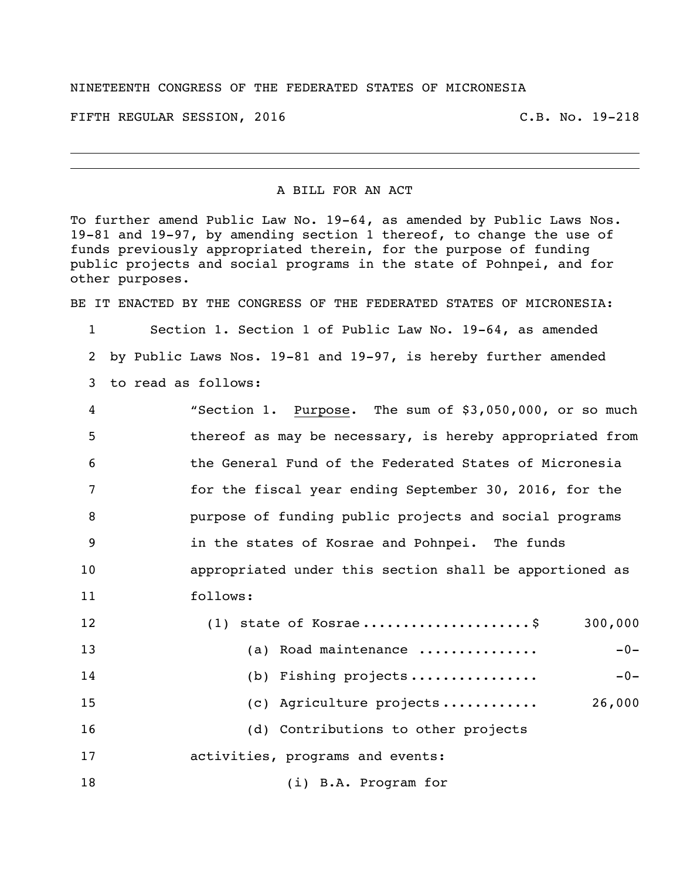## NINETEENTH CONGRESS OF THE FEDERATED STATES OF MICRONESIA

FIFTH REGULAR SESSION, 2016 C.B. No. 19-218

## A BILL FOR AN ACT

To further amend Public Law No. 19-64, as amended by Public Laws Nos. 19-81 and 19-97, by amending section 1 thereof, to change the use of funds previously appropriated therein, for the purpose of funding public projects and social programs in the state of Pohnpei, and for other purposes.

BE IT ENACTED BY THE CONGRESS OF THE FEDERATED STATES OF MICRONESIA:

 Section 1. Section 1 of Public Law No. 19-64, as amended by Public Laws Nos. 19-81 and 19-97, is hereby further amended to read as follows:

| $\overline{4}$ | "Section 1. Purpose. The sum of \$3,050,000, or so much  |
|----------------|----------------------------------------------------------|
| -5             | thereof as may be necessary, is hereby appropriated from |
| 6              | the General Fund of the Federated States of Micronesia   |
| 7              | for the fiscal year ending September 30, 2016, for the   |
| 8              | purpose of funding public projects and social programs   |
| - 9            | in the states of Kosrae and Pohnpei. The funds           |
| 10             | appropriated under this section shall be apportioned as  |
| 11             | follows:                                                 |

| 12 | $(1)$ state of Kosrae\$             | 300,000 |
|----|-------------------------------------|---------|
| 13 | Road maintenance<br>(a)             | $-0-$   |
| 14 | (b) Fishing projects                | $-0-$   |
| 15 | (c) Agriculture projects            | 26,000  |
| 16 | (d) Contributions to other projects |         |
| 17 | activities, programs and events:    |         |
| 18 | (i) B.A. Program for                |         |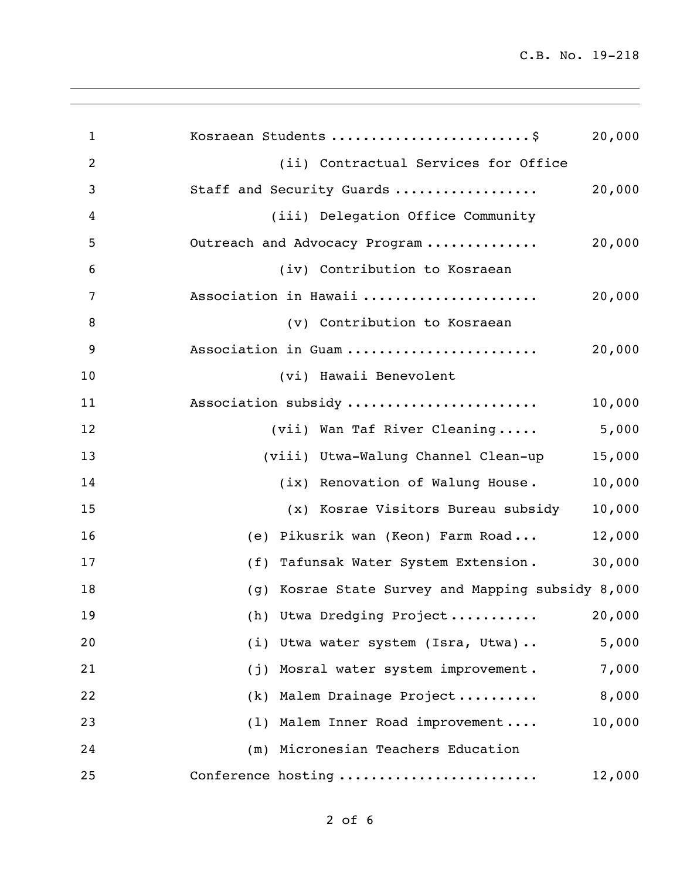C.B. No. 19-218

| $\mathbf{1}$   | Kosraean Students  \$<br>20,000                   |
|----------------|---------------------------------------------------|
| $\overline{2}$ | (ii) Contractual Services for Office              |
| 3              | Staff and Security Guards<br>20,000               |
| 4              | (iii) Delegation Office Community                 |
| 5              | 20,000<br>Outreach and Advocacy Program           |
| 6              | (iv) Contribution to Kosraean                     |
| 7              | Association in Hawaii<br>20,000                   |
| 8              | (v) Contribution to Kosraean                      |
| 9              | Association in Guam<br>20,000                     |
| 10             | (vi) Hawaii Benevolent                            |
| 11             | Association subsidy<br>10,000                     |
| 12             | 5,000<br>(vii) Wan Taf River Cleaning             |
| 13             | (viii) Utwa-Walung Channel Clean-up<br>15,000     |
| 14             | 10,000<br>(ix) Renovation of Walung House.        |
| 15             | 10,000<br>(x) Kosrae Visitors Bureau subsidy      |
| 16             | 12,000<br>(e) Pikusrik wan (Keon) Farm Road       |
| 17             | 30,000<br>(f) Tafunsak Water System Extension.    |
| 18             | (g) Kosrae State Survey and Mapping subsidy 8,000 |
| 19             | (h) Utwa Dredging Project 20,000                  |
| 20             | 5,000<br>(i) Utwa water system (Isra, Utwa)       |
| 21             | 7,000<br>Mosral water system improvement.<br>(j)  |
| 22             | 8,000<br>Malem Drainage Project<br>(k)            |
| 23             | 10,000<br>(1) Malem Inner Road improvement        |
| 24             | (m) Micronesian Teachers Education                |
| 25             | Conference hosting<br>12,000                      |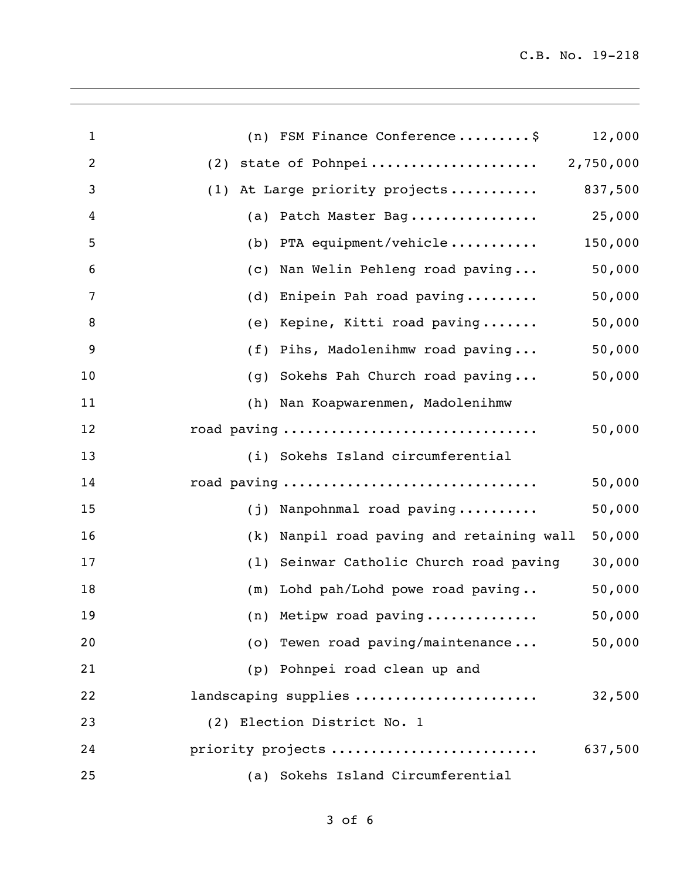| $\mathbf{1}$   | (n) FSM Finance Conference\$                        | 12,000  |
|----------------|-----------------------------------------------------|---------|
| $\overline{c}$ | (2)                                                 |         |
| 3              | (1) At Large priority projects                      | 837,500 |
| 4              | (a) Patch Master Bag                                | 25,000  |
| 5              | (b) PTA equipment/vehicle                           | 150,000 |
| 6              | Nan Welin Pehleng road paving<br>$\left( c \right)$ | 50,000  |
| 7              | Enipein Pah road paving<br>(d)                      | 50,000  |
| 8              | (e) Kepine, Kitti road paving                       | 50,000  |
| 9              | Pihs, Madolenihmw road paving<br>(f)                | 50,000  |
| 10             | Sokehs Pah Church road paving<br>(g)                | 50,000  |
| 11             | Nan Koapwarenmen, Madolenihmw<br>(h)                |         |
| 12             | road paving                                         | 50,000  |
| 13             | (i) Sokehs Island circumferential                   |         |
| 14             | road paving                                         | 50,000  |
| 15             | (j) Nanpohnmal road paving                          | 50,000  |
| 16             | Nanpil road paving and retaining wall<br>(k)        | 50,000  |
| 17             | Seinwar Catholic Church road paving<br>(1)          | 30,000  |
| 18             | Lohd pah/Lohd powe road paving<br>(m)               | 50,000  |
| 19             | (n) Metipw road paving                              | 50,000  |
| 20             | (o) Tewen road paving/maintenance                   | 50,000  |
| 21             | (p) Pohnpei road clean up and                       |         |
| 22             | landscaping supplies                                | 32,500  |
| 23             | (2) Election District No. 1                         |         |
| 24             | priority projects                                   | 637,500 |
| 25             | (a) Sokehs Island Circumferential                   |         |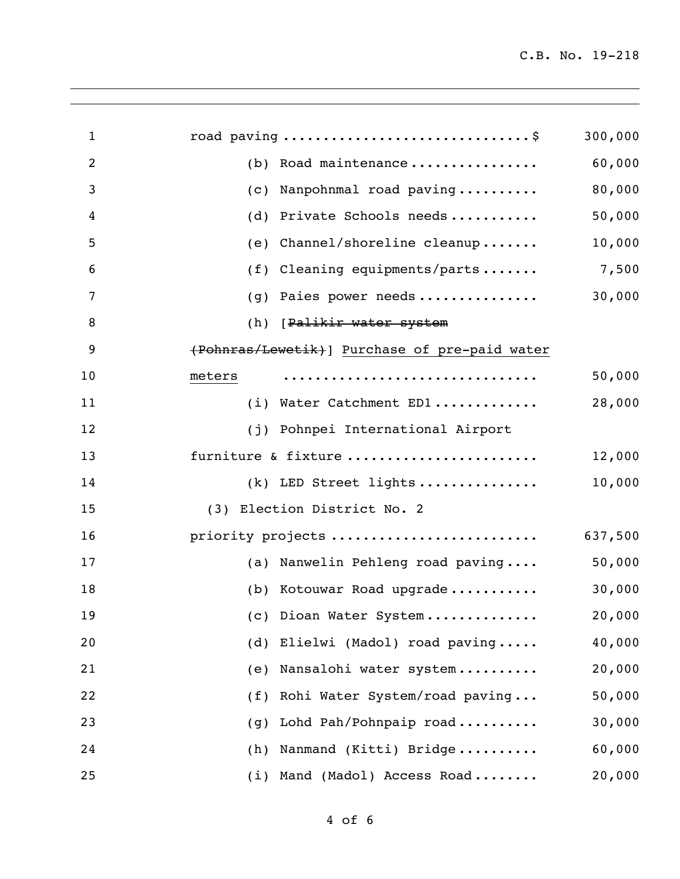| $\mathbf{1}$   | road paving \$                                 | 300,000 |
|----------------|------------------------------------------------|---------|
| $\overline{2}$ | (b) Road maintenance                           | 60,000  |
| 3              | Nanpohnmal road paving<br>$\left( c\right)$    | 80,000  |
| 4              | Private Schools needs<br>(d)                   | 50,000  |
| 5              | Channel/shoreline cleanup<br>(e)               | 10,000  |
| 6              | Cleaning equipments/parts<br>(f)               | 7,500   |
| 7              | Paies power needs<br>(q)                       | 30,000  |
| 8              | (h) [Palikir water system                      |         |
| 9              | (Pohnras/Lewetik) ] Purchase of pre-paid water |         |
| 10             | meters                                         | 50,000  |
| 11             | (i) Water Catchment ED1                        | 28,000  |
| 12             | (j) Pohnpei International Airport              |         |
| 13             | furniture & fixture                            | 12,000  |
| 14             | $(k)$ LED Street lights                        | 10,000  |
| 15             | (3) Election District No. 2                    |         |
| 16             | priority projects                              | 637,500 |
| 17             | (a) Nanwelin Pehleng road paving               | 50,000  |
| 18             | (b) Kotouwar Road upgrade                      | 30,000  |
| 19             | (c) Dioan Water System                         | 20,000  |
| 20             | Elielwi (Madol) road paving<br>(d)             | 40,000  |
| 21             | Nansalohi water system<br>(e)                  | 20,000  |
| 22             | Rohi Water System/road paving<br>(f)           | 50,000  |
| 23             | Lohd Pah/Pohnpaip road<br>(g)                  | 30,000  |
| 24             | Nanmand (Kitti) Bridge<br>(h)                  | 60,000  |
| 25             | Mand (Madol) Access Road<br>(i)                | 20,000  |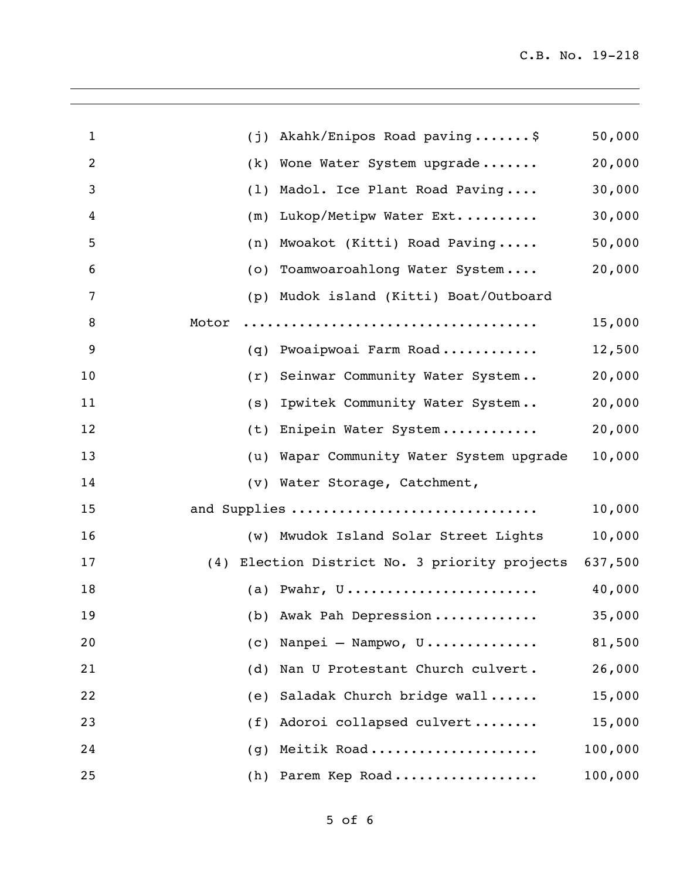| $\mathbf{1}$   | Akahk/Enipos Road paving\$<br>(j)                     | 50,000  |
|----------------|-------------------------------------------------------|---------|
| $\overline{2}$ | (k) Wone Water System upgrade                         | 20,000  |
| 3              | Madol. Ice Plant Road Paving<br>(1)                   | 30,000  |
| 4              | Lukop/Metipw Water Ext<br>(m)                         | 30,000  |
| 5              | Mwoakot (Kitti) Road Paving<br>(n)                    | 50,000  |
| 6              | (o) Toamwoaroahlong Water System                      | 20,000  |
| $\overline{7}$ | (p) Mudok island (Kitti) Boat/Outboard                |         |
| 8              | Motor                                                 | 15,000  |
| 9              | (q) Pwoaipwoai Farm Road                              | 12,500  |
| 10             | Seinwar Community Water System<br>(r)                 | 20,000  |
| 11             | Ipwitek Community Water System<br>(s)                 | 20,000  |
| 12             | Enipein Water System<br>(t)                           | 20,000  |
| 13             | (u) Wapar Community Water System upgrade              | 10,000  |
| 14             | (v) Water Storage, Catchment,                         |         |
| 15             | and Supplies                                          | 10,000  |
| 16             | (w) Mwudok Island Solar Street Lights                 | 10,000  |
| 17             | (4) Election District No. 3 priority projects 637,500 |         |
| 18             | (a) Pwahr, $U$                                        | 40,000  |
| 19             | (b) Awak Pah Depression                               | 35,000  |
| 20             | Nanpei - Nampwo, U<br>$\left( c\right)$               | 81,500  |
| 21             | Nan U Protestant Church culvert.<br>(d)               | 26,000  |
| 22             | Saladak Church bridge wall<br>(e)                     | 15,000  |
| 23             | Adoroi collapsed culvert<br>(f)                       | 15,000  |
| 24             | Meitik Road<br>(q)                                    | 100,000 |
| 25             | Parem Kep Road<br>(h)                                 | 100,000 |